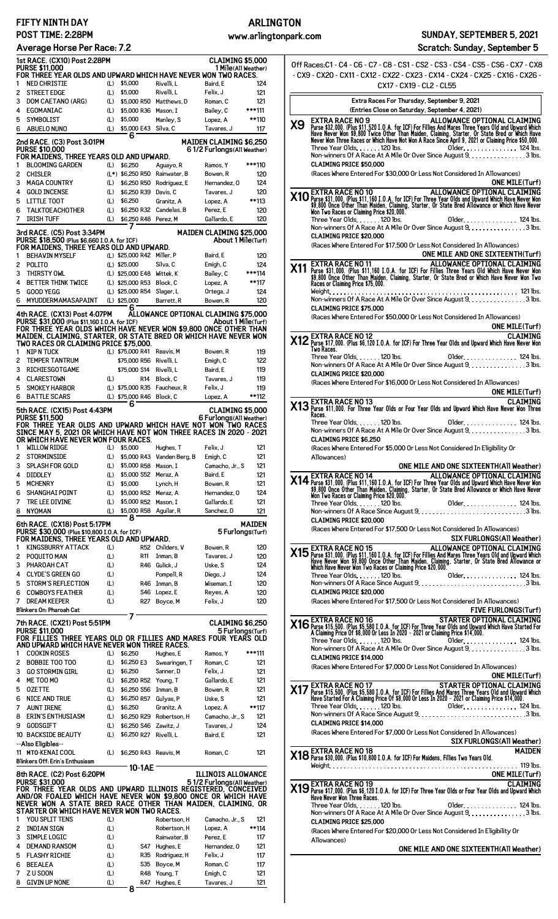## **FIFTY NINTH DAY POST TIME: 2:28PM**

## **Average Horse Per Race: 7.2**

**ARLINGTON**

**Scratch: Sunday, September 5**

|              | 1st RACE. (CX10) Post 2:28PM                                                                                                 |            |                              |                                | <b>CLAIMING \$5,000</b>                          |                                                                         |
|--------------|------------------------------------------------------------------------------------------------------------------------------|------------|------------------------------|--------------------------------|--------------------------------------------------|-------------------------------------------------------------------------|
|              | <b>PURSE \$11,000</b>                                                                                                        |            |                              |                                | 1 Mile(All Weather)                              |                                                                         |
| 1            | FOR THREE YEAR OLDS AND UPWARD WHICH HAVE NEVER WON TWO RACES.<br><b>NED CHRISTIE</b>                                        |            | \$5,000                      | Rivelli, L                     | Baird, E                                         | 124                                                                     |
|              |                                                                                                                              | (L)        |                              |                                |                                                  |                                                                         |
| 2            | <b>STREET EDGE</b>                                                                                                           | (L)        | \$5,000                      | Rivelli, L                     | Felix, J                                         | 121                                                                     |
| 3            | DOM CAETANO (ARG)                                                                                                            | (L)        | \$5,000 R50                  | Matthews, D                    | Roman, C                                         | 121                                                                     |
| 4            | EGOMANIAC                                                                                                                    | (L)        | \$5,000 R36                  | Mason, I                       | Bailey, C                                        | ***111                                                                  |
| 5            | SYMBOLIST                                                                                                                    | (L)        | \$5,000                      | Manley, S                      | Lopez, A                                         | **110                                                                   |
| 6            | <b>ABUELO NUNO</b>                                                                                                           | (L)        | \$5,000 E43                  | Silva, C                       | Tavares, J                                       | 117                                                                     |
|              | 2nd RACE. (C3) Post 3:01PM                                                                                                   |            | 6                            |                                | MAIDEN CLAIMING \$6,250                          |                                                                         |
|              | <b>PURSE \$10,000</b>                                                                                                        |            |                              |                                | 61/2 Furlongs (All Weather)                      |                                                                         |
|              | FOR MAIDENS, THREE YEARS OLD AND UPWARD.                                                                                     |            |                              |                                |                                                  |                                                                         |
| 1            | <b>BLOOMING GARDEN</b>                                                                                                       | (L)        | \$6,250                      | Aguayo, R                      | Ramos, Y                                         | ***110                                                                  |
| 2            | <b>CHISLER</b>                                                                                                               |            | (L*) \$6,250 R50             | Rainwater, B                   | Bowen, R                                         | 120                                                                     |
| 3            | <b>MAGA COUNTRY</b>                                                                                                          | (L)        | \$6,250 R50                  | Rodriguez, E                   | Hernandez, 0                                     | 124                                                                     |
| 4            | <b>GOLD INCENSE</b>                                                                                                          | (L)        | \$6,250 R39 Davis, C         |                                | Tavares, J                                       | 120                                                                     |
| 5            | <b>LITTLE TOOT</b>                                                                                                           | (L)        | \$6,250                      | Granitz, A                     | Lopez, A                                         | **113                                                                   |
| 6            | <b>TALKTOEACHOTHER</b>                                                                                                       | (L)        | \$6,250 R32                  | Candelas, B                    | Perez, E                                         | 120                                                                     |
| 7            | <b>IRISH TUFF</b>                                                                                                            | (L)        | \$6,250 R48                  | Perez, M                       | Gallardo, E                                      | 120                                                                     |
|              |                                                                                                                              |            | 7                            |                                |                                                  |                                                                         |
|              | 3rd RACE. (C5) Post 3:34PM                                                                                                   |            |                              |                                | MAIDEN CLAIMING \$25,000                         |                                                                         |
|              | PURSE \$18,500 (Plus \$6,660 I.O.A. for ICF)                                                                                 |            |                              |                                | About 1 Mile(Turf)                               |                                                                         |
|              | FOR MAIDENS, THREE YEARS OLD AND UPWARD.                                                                                     |            |                              |                                |                                                  |                                                                         |
| 1            | <b>BEHAVIN MYSELF</b>                                                                                                        |            | (L) \$25,000 R42 Miller, P   |                                | Baird, E                                         | 120                                                                     |
| 2            | POLITO                                                                                                                       |            | (L) \$25,000                 | Silva, C                       | Emigh, C                                         | 124                                                                     |
| 3            | THIRSTY OWL                                                                                                                  |            | (L) \$25,000 E48             | Wittek, K                      | Bailey, C                                        | ***114                                                                  |
| 4            | <b>BETTER THINK TWICE</b>                                                                                                    |            | (L) \$25,000 R53             | Block, C                       | Lopez, A                                         | **117                                                                   |
| 5            | <b>GOOD YEGG</b>                                                                                                             |            | (L) \$25,000 R54             | Slager, L                      | Ortega, J                                        | 124                                                                     |
| 6            | MYUDDERMAMASAPAINT                                                                                                           |            | (L) \$25,000                 | Barrett.R                      | Bowen, R                                         | 120                                                                     |
|              | 4th RACE. (CX13) Post 4:07PM                                                                                                 |            | 6                            |                                | ALLOWANCE OPTIONAL CLAIMING \$75,000             |                                                                         |
|              | PURSE \$31,000 (Plus \$11,160 I.O.A. for ICF)                                                                                |            |                              |                                | About 1 Mile(Turf)                               |                                                                         |
|              | FOR THREE YEAR OLDS WHICH HAVE NEVER WON \$9,800 ONCE OTHER THAN                                                             |            |                              |                                |                                                  |                                                                         |
|              | MAIDEN, CLAIMING, STARTER, OR STATE BRED OR WHICH HAVE NEVER WON                                                             |            |                              |                                |                                                  |                                                                         |
|              | TWO RACES OR CLAIMING PRICE \$75,000.                                                                                        |            |                              |                                |                                                  |                                                                         |
| 1            | <b>NIP N TUCK</b>                                                                                                            |            | (L) \$75,000 R41 Reavis, M   |                                | Bowen, R                                         | 119                                                                     |
| 2            | <b>TEMPER TANTRUM</b>                                                                                                        |            | \$75,000 R56                 | Rivelli, L                     | Emigh, C                                         | 122                                                                     |
| 3            | <b>RICHIESGOTGAME</b>                                                                                                        |            | \$75,000 S14                 | Rivelli, L                     | Baird, E                                         | 119                                                                     |
| 4            | <b>CLARESTOWN</b>                                                                                                            | (L)        | R14                          | Block, C                       | Tavares, J                                       | 119                                                                     |
| 5            | <b>SMOKEY HARBOR</b>                                                                                                         |            | (L) \$75,000 R35 Faucheux, R |                                | Felix, J                                         | 119                                                                     |
| 6            | <b>BATTLE SCARS</b>                                                                                                          |            | (L) \$75,000 R46             | Block, C                       | Lopez, A                                         | **112                                                                   |
|              | 5th RACE. (CX15) Post 4:43PM                                                                                                 |            | 6                            |                                | <b>CLAIMING \$5,000</b>                          |                                                                         |
|              | <b>PURSE \$11,500</b>                                                                                                        |            |                              |                                | 6 Furlongs (All Weather)                         |                                                                         |
|              | FOR THREE YEAR OLDS AND UPWARD WHICH HAVE NOT WON TWO RACES                                                                  |            |                              |                                |                                                  |                                                                         |
|              | SINCE MAY 5, 2021 OR WHICH HAVE NOT WON THREE RACES IN 2020 - 2021                                                           |            |                              |                                |                                                  |                                                                         |
|              | OR WHICH HAVE NEVER WON FOUR RACES.                                                                                          |            |                              |                                |                                                  |                                                                         |
| 1            | <b>WILLOW RIDGE</b>                                                                                                          | (L)        | \$5,000                      | Hughes, T                      | Felix, J                                         | 121                                                                     |
| $\mathbf{2}$ | <b>STORMINSIDE</b>                                                                                                           |            |                              | (L) \$5,000 R43 Vanden Berg, B | Emigh, C                                         | 121                                                                     |
| 3            | <b>SPLASH FOR GOLD</b>                                                                                                       | (L)        | \$5,000 R58 Mason, I         |                                | Camacho, Jr., S                                  | 121                                                                     |
| 4            | <b>DIDDLEY</b>                                                                                                               | (L)        | \$5,000 S52                  | Meraz, A                       | Baird. E                                         | 121                                                                     |
| 5            | <b>MCHENRY</b>                                                                                                               | (L)        | \$5,000                      | Lynch, H                       | Bowen, R                                         | 121                                                                     |
| 6            | SHANGHAI POINT                                                                                                               | (L)        | \$5,000 R52                  | Meraz, A                       | Hernandez, 0                                     | 124                                                                     |
|              |                                                                                                                              |            |                              | Mason, I                       | Gallardo, E                                      | 121                                                                     |
| 7            | TRE LEE DIVINE                                                                                                               | (L)        | \$5,000 R52                  |                                |                                                  |                                                                         |
| 8            | <b>NYOMAN</b>                                                                                                                | (L)        | \$5,000 R58                  | Aguilar, R                     | Sanchez, D                                       | 121                                                                     |
|              |                                                                                                                              |            | 8                            |                                |                                                  |                                                                         |
|              | 6th RACE. (CX18) Post 5:17PM                                                                                                 |            |                              |                                |                                                  |                                                                         |
|              | PURSE \$30,000 (Plus \$10,800 I.O.A. for ICF)                                                                                |            |                              |                                | 5 Furlongs(Turf)                                 |                                                                         |
|              | FOR MAIDENS, THREE YEARS OLD AND UPWARD.                                                                                     |            |                              |                                |                                                  |                                                                         |
| 1            | <b>KINGSBURRY ATTACK</b>                                                                                                     | (L)        | R52                          | Childers, V                    | Bowen, R                                         |                                                                         |
| 2            | POQUITO MAN                                                                                                                  | (L)        | <b>R11</b>                   | Inman, B                       | Tavares, J                                       |                                                                         |
| 3            | PHAROAH CAT                                                                                                                  | (L)        |                              | R46 Gulick, J                  | Uske, S                                          |                                                                         |
| 4            | <b>CLYDE'S GREEN GO</b>                                                                                                      | (L)        |                              | Pompell, R                     | Diego, J                                         |                                                                         |
| 5            | <b>STORM'S REFLECTION</b>                                                                                                    | (L)        |                              | R46 Inman, B                   | Wiseman, I                                       |                                                                         |
| 6            | <b>COWBOYS FEATHER</b>                                                                                                       | (L)        |                              | S46 Lopez, E                   | Reyes, A                                         |                                                                         |
| 7            | <b>DREAM KEEPER</b>                                                                                                          | (L)        | R27                          | Boyce, M                       | Felix, J                                         |                                                                         |
|              | Blinkers On: Pharoah Cat                                                                                                     |            |                              |                                |                                                  |                                                                         |
|              | 7th RACE. (CX21) Post 5:51PM                                                                                                 |            | 7                            |                                | <b>CLAIMING \$6,250</b>                          |                                                                         |
|              | <b>PURSE \$11,000</b>                                                                                                        |            |                              |                                | 5 Furlongs(Turf)                                 |                                                                         |
|              | FOR FILLIES THREE YEARS OLD OR FILLIES AND MARES FOUR YEARS OLD                                                              |            |                              |                                |                                                  |                                                                         |
|              | AND UPWARD WHICH HAVE NEVER WON THREE RACES.                                                                                 |            |                              |                                |                                                  |                                                                         |
| 1            | <b>COOKIN ROSES</b>                                                                                                          | (L)        | \$6,250                      | Hughes, E                      | Ramos, Y                                         | ***111                                                                  |
| 2            | <b>BOBBIE TOO TOO</b>                                                                                                        | (L)        | \$6,250 E3                   | Swearingen, T                  | Roman, C                                         | 121                                                                     |
| 3            | <b>GO STORMIN GIRL</b>                                                                                                       | (L)        | \$6,250                      | Sanner, D                      | Felix, J                                         | 121                                                                     |
| 4            | ME TOO MO                                                                                                                    | (L)        | \$6,250 R52 Young, T         |                                | Gallardo, E                                      | 121                                                                     |
| 5            | <b>OZETTE</b>                                                                                                                | (L)        | \$6,250 S56 Inman, B         |                                | Bowen, R                                         | 121                                                                     |
| 6            | <b>NICE AND TRUE</b>                                                                                                         | (L)        | \$6,250 R57                  | Gulyas, P                      | Uske, S                                          | 121                                                                     |
| 7            | <b>AUNT IRENE</b>                                                                                                            | (L)        | \$6,250                      | Granitz, A                     | Lopez, A                                         | **117                                                                   |
| 8            | <b>ERIN'S ENTHUSIASM</b>                                                                                                     | (L)        | \$6,250 R29                  | Robertson, H                   | Camacho, Jr., S                                  | 121                                                                     |
| 9            | <b>GODSGIFT</b>                                                                                                              | (L)        | \$6,250 S46 Zawitz, J        |                                | Tavares, J                                       |                                                                         |
|              | 10 BACKSIDE BEAUTY                                                                                                           | (L)        | \$6,250 R27                  | Rivelli, L                     | Baird, E                                         | 121                                                                     |
|              | --Also Eligibles--                                                                                                           |            |                              |                                |                                                  |                                                                         |
|              | 11 MTO-KENAI COOL                                                                                                            | (L)        | \$6,250 R43 Reavis, M        |                                | Roman, C                                         | 121                                                                     |
|              | Blinkers Off: Erin's Enthusiasm                                                                                              |            |                              |                                |                                                  |                                                                         |
|              |                                                                                                                              |            | 10-1AE                       |                                |                                                  |                                                                         |
|              | 8th RACE. (C2) Post 6:20PM<br><b>PURSE \$31,000</b>                                                                          |            |                              |                                | ILLINOIS ALLOWANCE<br>51/2 Furlongs(All Weather) |                                                                         |
|              | for three year olds and upward illinois registered, conceived                                                                |            |                              |                                |                                                  |                                                                         |
|              |                                                                                                                              |            |                              |                                |                                                  |                                                                         |
|              | AND/OR FOALED WHICH HAVE NEVER WON \$9,800 ONCE OR WHICH HAVE<br>NEVER WON A STATE BRED RACE OTHER THAN MAIDEN, CLAIMING, OR |            |                              |                                |                                                  |                                                                         |
|              | STARTER OR WHICH HAVE NEVER WON TWO RACES.                                                                                   |            |                              |                                |                                                  |                                                                         |
| 1            | YOU SPLIT TENS                                                                                                               | (L)        |                              | Robertson, H                   | Camacho, Jr., S                                  | 121                                                                     |
| 2            | <b>INDIAN SIGN</b>                                                                                                           | (L)        |                              | Robertson, H                   | Lopez, A                                         | MAIDEN<br>120<br>120<br>124<br>124<br>120<br>120<br>120<br>124<br>**114 |
| 3            | <b>SIMPLE LOGIC</b>                                                                                                          | (L)        |                              | Rainwater, B                   | Perez, E                                         | 117                                                                     |
| 4            | <b>DEMAND RANSOM</b>                                                                                                         | (L)        |                              | S47 Hughes, E                  | Hernandez, 0                                     | 121                                                                     |
| 5            | <b>FLASHY RICHIE</b>                                                                                                         | (L)        |                              | R35 Rodriguez, H               | Felix, J                                         | 117                                                                     |
| 6<br>7       | <b>BEEALEA</b><br>ZU SOON                                                                                                    | (L)<br>(L) | S35                          | Boyce, M<br>R48 Young, T       | Roman, C<br>Emigh, C                             | 117<br>121                                                              |

8 GIVIN UP NONE (L) R47 Hughes, E Tavares, J 121 **8**

|     | 0ff Races:C1 - C4 - C6 - C7 - C8 - CS1 - CS2 - CS3 - CS4 - CS5 - CS6 - CX7 - CX8<br>- CX9 - CX20 - CX11 - CX12 - CX22 - CX23 - CX14 - CX24 - CX25 - CX16 - CX26 -                                                                                                                                                                                                                                                                                                                                                               |
|-----|---------------------------------------------------------------------------------------------------------------------------------------------------------------------------------------------------------------------------------------------------------------------------------------------------------------------------------------------------------------------------------------------------------------------------------------------------------------------------------------------------------------------------------|
|     | CX17 - CX19 - CL2 - CL55                                                                                                                                                                                                                                                                                                                                                                                                                                                                                                        |
|     | Extra Races For Thursday, September 9, 2021<br>(Entries Close on Saturday, September 4, 2021)                                                                                                                                                                                                                                                                                                                                                                                                                                   |
| Х9  | <b>EXTRA RACE NO 9</b><br>ALLOWANCE OPTIONAL CLAIMING<br>Purse \$32,000. (Plus \$11,520 I.O.A. for ICF) For Fillies And Mares Three Years Old and Upward Which<br>Have Never Won \$9,800 Twice Other Than Maiden, Claiming, Starter, Or State Bred or Which Have<br>Never Won Three Races or Whi<br>Three Year Olds. 120 lbs.<br>Older. 124 lbs.<br>Non-winners Of A Race At A Mile Or Over Since August 9. 3 lbs.<br><b>CLAIMING PRICE \$50,000</b><br>(Races Where Entered For \$30,000 Or Less Not Considered In Allowances) |
|     | <b>ONE MILE(Turf)</b>                                                                                                                                                                                                                                                                                                                                                                                                                                                                                                           |
| X10 | <b>ALLOWANCE OPTIONAL CLAIMING</b><br>EXTRA RACE NO 10<br>Purse \$31,000. (Plus \$11,160 I.O.A. for ICF) For Three Year Olds and Upward Which Have Never Won<br>\$9,800 Once Other Than Maiden, Claiming, Starter, Or State Bred Allowance or Which Have Never Won<br>Won Two Races or Claiming Price \$20,000.                                                                                                                                                                                                                 |
|     | Three Year Olds 120 lbs.<br>Older. 124 lbs.<br>Non-winners Of A Race At A Mile Or Over Since August 9. 3 lbs.<br><b>CLAIMING PRICE \$20,000</b>                                                                                                                                                                                                                                                                                                                                                                                 |
|     | (Races Where Entered For \$17,500 Or Less Not Considered In Allowances)<br>ONE MILE AND ONE SIXTEENTH(Turf)                                                                                                                                                                                                                                                                                                                                                                                                                     |
| X11 | <b>EXTRA RACE NO 11</b><br>ALLOWANCE OPTIONAL CLAIMING<br>Purse \$31,000. (Plus \$11,160 I.O.A. for ICF) For Fillies Three Years Old Which Have Never Won<br>\$9,800 Once Other Than Maiden, Claiming, Starter, Or State Bred or Which Have Never Won Two<br>Races or Claiming Price \$75,000.                                                                                                                                                                                                                                  |
|     | Non-winners Of A Race At A Mile Or Over Since August 9, 3 lbs.<br><b>CLAIMING PRICE \$75,000</b><br>(Races Where Entered For \$50,000 Or Less Not Considered In Allowances)                                                                                                                                                                                                                                                                                                                                                     |
|     | <b>ONE MILE(Turf)</b><br>CLAIMING<br>X12 Purse \$17,000. (Plus \$6,120 I.O.A. for ICF) For Three Year Olds and Upward Which Have Never Won                                                                                                                                                                                                                                                                                                                                                                                      |
|     | Two Races.<br>Older. 124 lbs.<br>Three Year Olds. 120 lbs.<br>Non-winners Of A Race At A Mile Or Over Since August 9. 3 lbs.<br><b>CLAIMING PRICE \$20.000</b>                                                                                                                                                                                                                                                                                                                                                                  |
|     | (Races Where Entered For \$16,000 Or Less Not Considered In Allowances)<br><b>ONE MILE(Turf)</b>                                                                                                                                                                                                                                                                                                                                                                                                                                |
|     | X13 EXTRA RACE NO 13<br>X13 Purse \$11,000. For Three Year Olds or Four Year Olds and Upward Which Have Never Won Three<br>Races.<br>Three Year Olds. 120 lbs. 01der. 124 lbs.                                                                                                                                                                                                                                                                                                                                                  |
|     | Non-winners Of A Race At A Mile Or Over Since August 9. 3 lbs.<br><b>CLAIMING PRICE \$6.250</b><br>(Races Where Entered For \$5,000 Or Less Not Considered In Eligibility Or                                                                                                                                                                                                                                                                                                                                                    |
|     | Allowances)                                                                                                                                                                                                                                                                                                                                                                                                                                                                                                                     |
|     | ONE MILE AND ONE SIXTEENTH(ATI Weather)<br><b>X14</b> EXTRA RACE NO 14<br>Purse \$31,000. (Plus \$11,160 I.O.A. for ICF) For Three Year Olds and Upward Which Have Never Won<br>\$9,800 Once Other Than Maiden, Claiming, Starter, Or State                                                                                                                                                                                                                                                                                     |
|     | <b>CLAIMING PRICE \$20.000</b>                                                                                                                                                                                                                                                                                                                                                                                                                                                                                                  |
|     | (Races Where Entered For \$17,500 Or Less Not Considered In Allowances)<br>SIX FURLONGS(All Weather)                                                                                                                                                                                                                                                                                                                                                                                                                            |
|     | ALLOWANCE OPTIONAL CLAIMING<br>21 Deurse \$31,000. (Plus \$11,160 I.O.A. for ICF) For Fillies And Mares Three Years Old and Upward Which<br>Have Never Won \$9,800 Once Other Than Maiden, Claiming, Starter, Or State Bred Allowance o                                                                                                                                                                                                                                                                                         |
|     | <b>CLAIMING PRICE \$20,000</b>                                                                                                                                                                                                                                                                                                                                                                                                                                                                                                  |
|     | (Races Where Entered For \$17,500 Or Less Not Considered In Allowances)<br><b>FIVE FURLONGS(Turf)</b>                                                                                                                                                                                                                                                                                                                                                                                                                           |
|     | STARTER OPTIONAL CLAIMING<br><b>X16</b> EXTRA RACE NO 16 <b>STARTER OPTIONAL CLAIMING</b><br><b>X16</b> Purse \$15,500. (Plus \$5,580 I.O.A. for ICF) For Three Year Olds and Upward Which Have Started For<br>A Claiming Price Of \$8,000 Or Less In 2020 - 2021 or Claiming Price \$14,000.                                                                                                                                                                                                                                   |
|     | Three Year Olds. 120 lbs.<br>Older. 124 lbs.<br>Non-winners Of A Race At A Mile Or Over Since August 9. 3 lbs.<br><b>CLAIMING PRICE \$14,000</b><br>(Races Where Entered For \$7,000 Or Less Not Considered In Allowances)                                                                                                                                                                                                                                                                                                      |
|     | <b>ONE MILE(Turf)</b>                                                                                                                                                                                                                                                                                                                                                                                                                                                                                                           |
|     | ONE MILE (   urt)<br>STARTER OPTIONAL CLAIMING<br>X17 Purse \$15,500, (Plus \$5,580 I.O.A, for ICT) For Fillies And Mares Three Years Qld and Up and Which<br>Have Started For A Claiming Price Of \$8,000 Or Less In 2020 - 2021 or Claiming Price \$14,000.                                                                                                                                                                                                                                                                   |
|     | <b>CLAIMING PRICE \$14,000</b><br>(Races Where Entered For \$7,000 Or Less Not Considered In Allowances)                                                                                                                                                                                                                                                                                                                                                                                                                        |
|     | SIX FURLONGS(A11 Weather)<br>X18 Purse \$30,000. (Plus \$10,800 I.O.A. for ICF) For Maidens, Fillies Two Years Old. MAIDEN                                                                                                                                                                                                                                                                                                                                                                                                      |
|     |                                                                                                                                                                                                                                                                                                                                                                                                                                                                                                                                 |
|     | $\frac{1}{2}$ ONE MILE(Turf)                                                                                                                                                                                                                                                                                                                                                                                                                                                                                                    |
|     | X19 Purse \$17,000. (Plus \$6,120 I.O.A. for ICF) For Three Year Olds or Four Year Olds and Upward Which<br>Have Never Won Three Races.<br>Three Year Olds120 lbs.<br>Older. 124 lbs.<br>Non-winners Of A Race At A Mile Or Over Since August 9. 3 lbs.                                                                                                                                                                                                                                                                         |
|     | <b>CLAIMING PRICE \$25,000</b><br>(Races Where Entered For \$20,000 Or Less Not Considered In Eligibility Or                                                                                                                                                                                                                                                                                                                                                                                                                    |
|     | Allowances)<br>ONE MILE AND ONE SIXTEENTH(All Weather)                                                                                                                                                                                                                                                                                                                                                                                                                                                                          |
|     |                                                                                                                                                                                                                                                                                                                                                                                                                                                                                                                                 |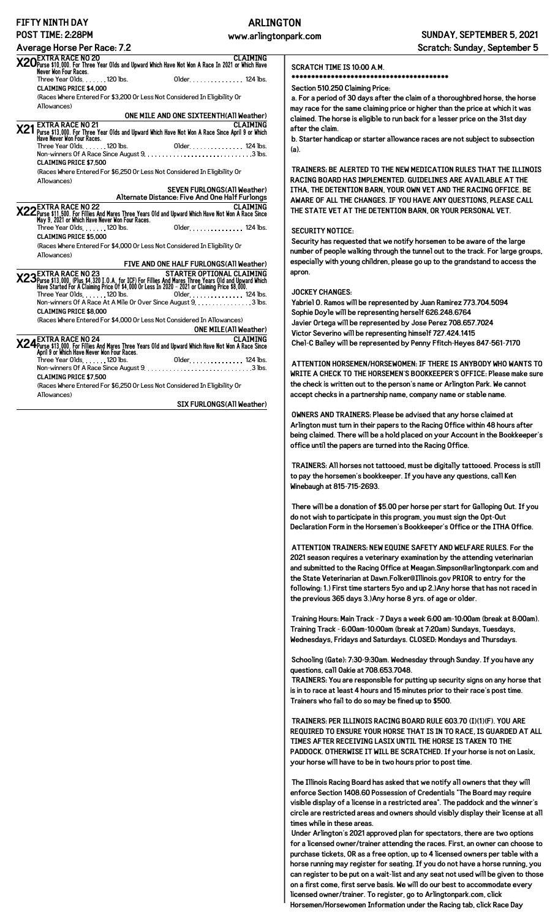# **FIFTY NINTH DAY**

# **ARLINGTON**

| I 11 I 11 IN 11 I 11 I 11 I 11 I 11                                                                                                                                                                                             | ARLIN                                                                                |
|---------------------------------------------------------------------------------------------------------------------------------------------------------------------------------------------------------------------------------|--------------------------------------------------------------------------------------|
| POST TIME: 2:28PM                                                                                                                                                                                                               | www.arling                                                                           |
| <b>Average Horse Per Race: 7.2</b>                                                                                                                                                                                              |                                                                                      |
| CLAIMING<br>X20Purse \$10,000. For Three Year Olds and Upward Which Have Not Won A Race In 2021 or Which Have<br>Never Won Four Races.                                                                                          |                                                                                      |
| Three Year Olds. 120 lbs.                                                                                                                                                                                                       | Older. 124 lbs.                                                                      |
| <b>CLAIMING PRICE \$4,000</b>                                                                                                                                                                                                   |                                                                                      |
| (Races Where Entered For \$3,200 Or Less Not Considered In Eligibility Or                                                                                                                                                       |                                                                                      |
| Allowances)                                                                                                                                                                                                                     |                                                                                      |
|                                                                                                                                                                                                                                 | ONE MILE AND ONE SIXTEENTH(All Weather)                                              |
| <b>EXTRA RACE NO 21</b><br>XZ1 Purse \$13,000. For Three Year Olds and Upward Which Have Not Won A Race Since April 9 or Which<br>Have Never Won Four Races.                                                                    | <b>CLAIMING</b>                                                                      |
|                                                                                                                                                                                                                                 |                                                                                      |
|                                                                                                                                                                                                                                 |                                                                                      |
| <b>CLAIMING PRICE \$7.500</b>                                                                                                                                                                                                   |                                                                                      |
| (Races Where Entered For \$6,250 Or Less Not Considered In Eligibility Or                                                                                                                                                       |                                                                                      |
| Allowances)                                                                                                                                                                                                                     |                                                                                      |
|                                                                                                                                                                                                                                 | <b>SEVEN FURLONGS(All Weather)</b><br>Alternate Distance: Five And One Half Furlongs |
| CLAIMING<br>X22 Purse \$11,500. For Fillies And Mares Three Years Old and Upward Which Have Not Won A Race Since<br>May 9, 2021 or Which Have Never Won Four Races.                                                             |                                                                                      |
| Three Year Olds. 120 lbs.                                                                                                                                                                                                       | Older. 124 lbs.                                                                      |
| <b>CLAIMING PRICE \$5.000</b>                                                                                                                                                                                                   |                                                                                      |
| (Races Where Entered For \$4,000 Or Less Not Considered In Eligibility Or                                                                                                                                                       |                                                                                      |
| Allowances)                                                                                                                                                                                                                     |                                                                                      |
|                                                                                                                                                                                                                                 | FIVE AND ONE HALF FURLONGS (All Weather)                                             |
| EXTRA RACE NO 23-<br>X23 Purse \$13,000. (Plus \$4,320 I.O.A. for ICF) For Fillies And Mares Three Years Old and Upward Which<br>Have Started For A Claiming Price Of \$4,000 Or Less In 2020 – 2021 or Claiming Price \$8,000. | STARTER OPTIONAL CLAIMING                                                            |
| Three Year Olds. 120 lbs.                                                                                                                                                                                                       | Older. 124 lbs.                                                                      |
| <b>CLAIMING PRICE \$8,000</b>                                                                                                                                                                                                   | Non-winners Of A Race At A Mile Or Over Since August 9. 3 lbs.                       |
| .                                                                                                                                                                                                                               |                                                                                      |

(Races Where Entered For \$4,000 Or Less Not Considered In Allowances)

|                                                                                                                                                                            | <b>ONE MILE(All Weather)</b> |
|----------------------------------------------------------------------------------------------------------------------------------------------------------------------------|------------------------------|
| CLAIMING <b>X24</b><br>X24 Purse \$13,000. For Fillies And Mares Three Years Old and Upward Which Have Not Won A Race Since<br>April 9 or Which Have Never Won Four Races. |                              |
| Three Year Olds. $\dots$ . 120 lbs.<br>Non-winners Of A Race Since August $9, \ldots, \ldots, \ldots, \ldots, \ldots, \ldots, 3$ lbs.                                      | 01 der. 124 lbs.             |
| <b>CLAIMING PRICE \$7,500</b><br>(Races Where Entered For \$6,250 Or Less Not Considered In Eligibility Or<br>Allowances)                                                  |                              |

### **SIX FURLONGS(All Weather)**

#### **SCRATCH TIME IS 10:00 A.M.**

**\*\*\*\*\*\*\*\*\*\*\*\*\*\*\*\*\*\*\*\*\*\*\*\*\*\*\*\*\*\*\*\*\*\*\*\*\*\*\*\***

#### **Section 510.250 Claiming Price:**

**a. For a period of 30 days after the claim of a thoroughbred horse, the horse may race for the same claiming price or higher than the price at which it was claimed. The horse is eligible to run back for a lesser price on the 31st day after the claim.**

**b. Starter handicap or starter allowance races are not subject to subsection (a).**

**TRAINERS: BE ALERTED TO THE NEW MEDICATION RULES THAT THE ILLINOIS RACING BOARD HAS IMPLEMENTED. GUIDELINES ARE AVAILABLE AT THE ITHA, THE DETENTION BARN, YOUR OWN VET AND THE RACING OFFICE. BE AWARE OF ALL THE CHANGES. IF YOU HAVE ANY QUESTIONS, PLEASE CALL THE STATE VET AT THE DETENTION BARN, OR YOUR PERSONAL VET.**

#### **SECURITY NOTICE:**

**Security has requested that we notify horsemen to be aware of the large number of people walking through the tunnel out to the track. For large groups, especially with young children, please go up to the grandstand to access the apron.**

#### **JOCKEY CHANGES:**

**Yabriel O. Ramos will be represented by Juan Ramirez 773.704.5094 Sophie Doyle will be representing herself 626.248.6764 Javier Ortega will be represented by Jose Perez 708.657.7024 Victor Severino will be representing himself 727.424.1415 Chel-C Bailey will be represented by Penny Ffitch-Heyes 847-561-7170**

**ATTENTION HORSEMEN/HORSEWOMEN: IF THERE IS ANYBODY WHO WANTS TO WRITE A CHECK TO THE HORSEMEN'S BOOKKEEPER'S OFFICE: Please make sure the check is written out to the person's name or Arlington Park. We cannot accept checks in a partnership name, company name or stable name.**

**OWNERS AND TRAINERS: Please be advised that any horse claimed at Arlington must turn in their papers to the Racing Office within 48 hours after being claimed. There will be a hold placed on your Account in the Bookkeeper's office until the papers are turned into the Racing Office.**

**TRAINERS: All horses not tattooed, must be digitally tattooed. Process is still to pay the horsemen's bookkeeper. If you have any questions, call Ken Winebaugh at 815-715-2693.**

**There will be a donation of \$5.00 per horse per start for Galloping Out. If you do not wish to participate in this program, you must sign the Opt-Out Declaration Form in the Horsemen's Bookkeeper's Office or the ITHA Office.**

**ATTENTION TRAINERS: NEW EQUINE SAFETY AND WELFARE RULES. For the 2021 season requires a veterinary examination by the attending veterinarian and submitted to the Racing Office at Meagan.Simpson@arlingtonpark.com and the State Veterinarian at Dawn.Folker@Illinois.gov PRIOR to entry for the following: 1.) First time starters 5yo and up 2.)Any horse that has not raced in the previous 365 days 3.)Any horse 8 yrs. of age or older.**

**Training Hours: Main Track - 7 Days a week 6:00 am-10:00am (break at 8:00am). Training Track - 6:00am-10:00am (break at 7:20am) Sundays, Tuesdays, Wednesdays, Fridays and Saturdays. CLOSED: Mondays and Thursdays.**

**Schooling (Gate): 7:30-9:30am. Wednesday through Sunday. If you have any questions, call Oakie at 708.653.7048.**

**TRAINERS: You are responsible for putting up security signs on any horse that is in to race at least 4 hours and 15 minutes prior to their race's post time. Trainers who fail to do so may be fined up to \$500.**

**TRAINERS: PER ILLINOIS RACING BOARD RULE 603.70 (I)(1)(F). YOU ARE REQUIRED TO ENSURE YOUR HORSE THAT IS IN TO RACE, IS GUARDED AT ALL TIMES AFTER RECEIVING LASIX UNTIL THE HORSE IS TAKEN TO THE PADDOCK. OTHERWISE IT WILL BE SCRATCHED. If your horse is not on Lasix, your horse will have to be in two hours prior to post time.**

**The Illinois Racing Board has asked that we notify all owners that they will enforce Section 1408.60 Possession of Credentials "The Board may require visible display of a license in a restricted area". The paddock and the winner's circle are restricted areas and owners should visibly display their license at all times while in these areas.**

**Under Arlington's 2021 approved plan for spectators, there are two options for a licensed owner/trainer attending the races. First, an owner can choose to purchase tickets, OR as a free option, up to 4 licensed owners per table with a horse running may register for seating. If you do not have a horse running, you can register to be put on a wait-list and any seat not used will be given to those on a first come, first serve basis. We will do our best to accommodate every licensed owner/trainer. To register, go to Arlingtonpark.com, click Horsemen/Horsewomen Information under the Racing tab, click Race Day**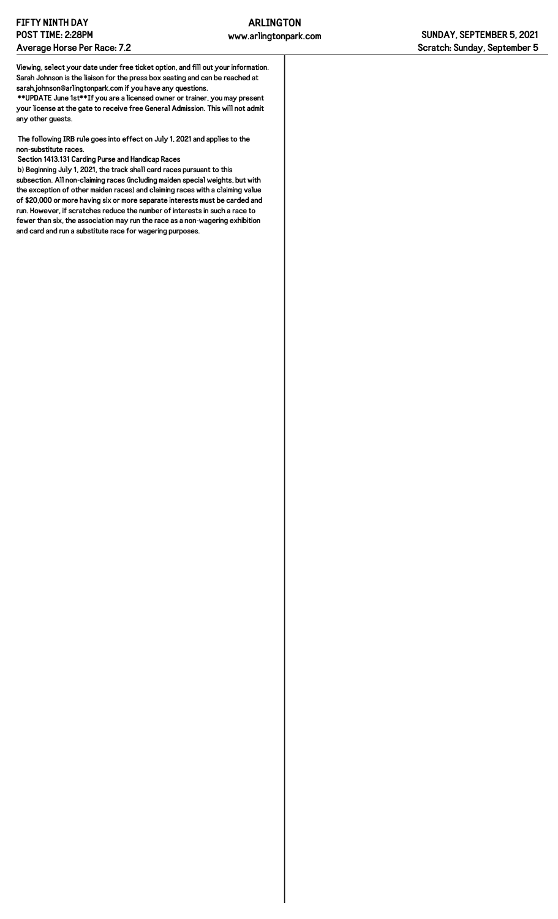**Viewing, select your date under free ticket option, and fill out your information. Sarah Johnson is the liaison for the press box seating and can be reached at sarah.johnson@arlingtonpark.com if you have any questions.**

**\*\*UPDATE June 1st\*\*If you are a licensed owner or trainer, you may present your license at the gate to receive free General Admission. This will not admit any other guests.**

**The following IRB rule goes into effect on July 1, 2021 and applies to the non-substitute races.**

**Section 1413.131 Carding Purse and Handicap Races**

**b) Beginning July 1, 2021, the track shall card races pursuant to this subsection. All non-claiming races (including maiden special weights, but with the exception of other maiden races) and claiming races with a claiming value of \$20,000 or more having six or more separate interests must be carded and run. However, if scratches reduce the number of interests in such a race to fewer than six, the association may run the race as a non-wagering exhibition and card and run a substitute race for wagering purposes.**